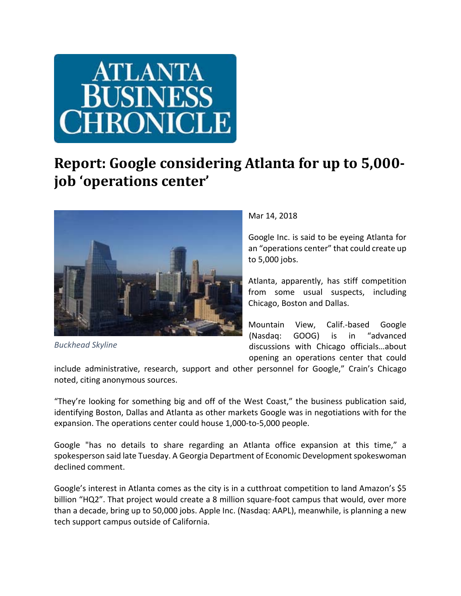

## **Report: Google considering Atlanta for up to 5,000‐ job 'operations center'**



*Buckhead Skyline*

Mar 14, 2018

Google Inc. is said to be eyeing Atlanta for an "operations center" that could create up to 5,000 jobs.

Atlanta, apparently, has stiff competition from some usual suspects, including Chicago, Boston and Dallas.

Mountain View, Calif.‐based Google (Nasdaq: GOOG) is in "advanced discussions with Chicago officials…about opening an operations center that could

include administrative, research, support and other personnel for Google," Crain's Chicago noted, citing anonymous sources.

"They're looking for something big and off of the West Coast," the business publication said, identifying Boston, Dallas and Atlanta as other markets Google was in negotiations with for the expansion. The operations center could house 1,000-to-5,000 people.

Google "has no details to share regarding an Atlanta office expansion at this time," a spokesperson said late Tuesday. A Georgia Department of Economic Development spokeswoman declined comment.

Google's interest in Atlanta comes as the city is in a cutthroat competition to land Amazon's \$5 billion "HQ2". That project would create a 8 million square‐foot campus that would, over more than a decade, bring up to 50,000 jobs. Apple Inc. (Nasdaq: AAPL), meanwhile, is planning a new tech support campus outside of California.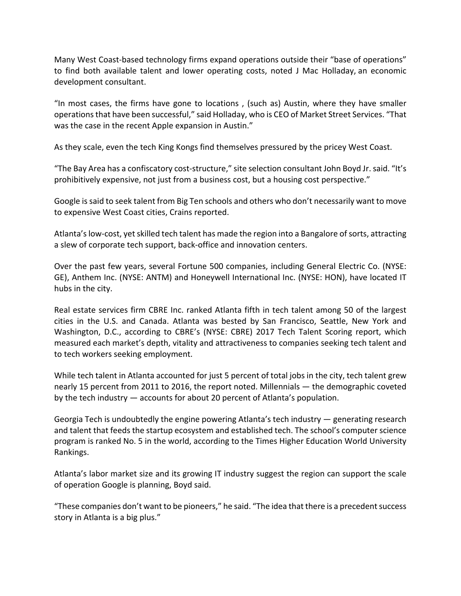Many West Coast-based technology firms expand operations outside their "base of operations" to find both available talent and lower operating costs, noted J Mac Holladay, an economic development consultant.

"In most cases, the firms have gone to locations , (such as) Austin, where they have smaller operations that have been successful," said Holladay, who is CEO of Market Street Services. "That was the case in the recent Apple expansion in Austin."

As they scale, even the tech King Kongs find themselves pressured by the pricey West Coast.

"The Bay Area has a confiscatory cost‐structure," site selection consultant John Boyd Jr.said. "It's prohibitively expensive, not just from a business cost, but a housing cost perspective."

Google issaid to seek talent from Big Ten schools and others who don't necessarily want to move to expensive West Coast cities, Crains reported.

Atlanta's low-cost, yet skilled tech talent has made the region into a Bangalore of sorts, attracting a slew of corporate tech support, back‐office and innovation centers.

Over the past few years, several Fortune 500 companies, including General Electric Co. (NYSE: GE), Anthem Inc. (NYSE: ANTM) and Honeywell International Inc. (NYSE: HON), have located IT hubs in the city.

Real estate services firm CBRE Inc. ranked Atlanta fifth in tech talent among 50 of the largest cities in the U.S. and Canada. Atlanta was bested by San Francisco, Seattle, New York and Washington, D.C., according to CBRE's (NYSE: CBRE) 2017 Tech Talent Scoring report, which measured each market's depth, vitality and attractiveness to companies seeking tech talent and to tech workers seeking employment.

While tech talent in Atlanta accounted for just 5 percent of total jobs in the city, tech talent grew nearly 15 percent from 2011 to 2016, the report noted. Millennials — the demographic coveted by the tech industry — accounts for about 20 percent of Atlanta's population.

Georgia Tech is undoubtedly the engine powering Atlanta's tech industry — generating research and talent that feeds the startup ecosystem and established tech. The school's computer science program is ranked No. 5 in the world, according to the Times Higher Education World University Rankings.

Atlanta's labor market size and its growing IT industry suggest the region can support the scale of operation Google is planning, Boyd said.

"These companies don't want to be pioneers," he said. "The idea that there is a precedent success story in Atlanta is a big plus."